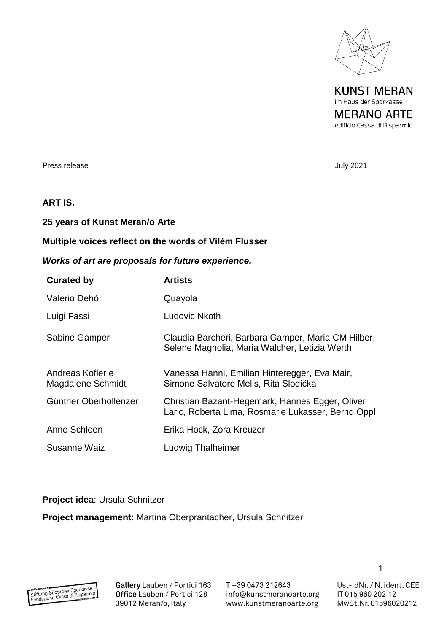

**KUNST MERAN** im Haus der Sparkasse **MERANO ARTE** edificio Cassa di Risparmio

Press release July 2021

## **ART IS.**

### **25 years of Kunst Meran/o Arte**

### **Multiple voices reflect on the words of Vilém Flusser**

# *Works of art are proposals for future experience.*

| <b>Curated by</b>                     | <b>Artists</b>                                                                                        |
|---------------------------------------|-------------------------------------------------------------------------------------------------------|
| Valerio Dehó                          | Quayola                                                                                               |
| Luigi Fassi                           | Ludovic Nkoth                                                                                         |
| Sabine Gamper                         | Claudia Barcheri, Barbara Gamper, Maria CM Hilber,<br>Selene Magnolia, Maria Walcher, Letizia Werth   |
| Andreas Kofler e<br>Magdalene Schmidt | Vanessa Hanni, Emilian Hinteregger, Eva Mair,<br>Simone Salvatore Melis, Rita Slodička                |
| Günther Oberhollenzer                 | Christian Bazant-Hegemark, Hannes Egger, Oliver<br>Laric, Roberta Lima, Rosmarie Lukasser, Bernd Oppl |
| Anne Schloen                          | Erika Hock, Zora Kreuzer                                                                              |
| Susanne Waiz                          | <b>Ludwig Thalheimer</b>                                                                              |

### **Project idea**: Ursula Schnitzer

**Project management**: Martina Oberprantacher, Ursula Schnitzer

Gallery Lauben / Portici 163 Office Lauben / Portici 128 39012 Meran/o, Italy

T+39 0473 212643 info@kunstmeranoarte.org www.kunstmeranoarte.org

Ust-IdNr. / N. ident. CEE

1

IT 015 960 202 12 MwSt.Nr. 01596020212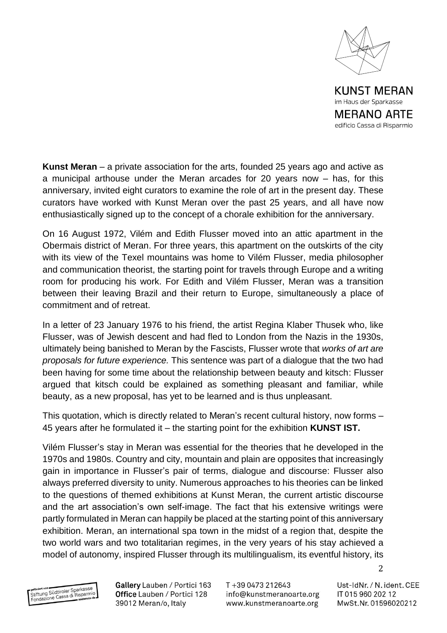

**MERANO ARTE** edificio Cassa di Risparmio

**Kunst Meran** – a private association for the arts, founded 25 years ago and active as a municipal arthouse under the Meran arcades for 20 years now – has, for this anniversary, invited eight curators to examine the role of art in the present day. These curators have worked with Kunst Meran over the past 25 years, and all have now enthusiastically signed up to the concept of a chorale exhibition for the anniversary.

On 16 August 1972, Vilém and Edith Flusser moved into an attic apartment in the Obermais district of Meran. For three years, this apartment on the outskirts of the city with its view of the Texel mountains was home to Vilém Flusser, media philosopher and communication theorist, the starting point for travels through Europe and a writing room for producing his work. For Edith and Vilém Flusser, Meran was a transition between their leaving Brazil and their return to Europe, simultaneously a place of commitment and of retreat.

In a letter of 23 January 1976 to his friend, the artist Regina Klaber Thusek who, like Flusser, was of Jewish descent and had fled to London from the Nazis in the 1930s, ultimately being banished to Meran by the Fascists, Flusser wrote that *works of art are proposals for future experience.* This sentence was part of a dialogue that the two had been having for some time about the relationship between beauty and kitsch: Flusser argued that kitsch could be explained as something pleasant and familiar, while beauty, as a new proposal, has yet to be learned and is thus unpleasant.

This quotation, which is directly related to Meran's recent cultural history, now forms – 45 years after he formulated it – the starting point for the exhibition **KUNST IST.**

Vilém Flusser's stay in Meran was essential for the theories that he developed in the 1970s and 1980s. Country and city, mountain and plain are opposites that increasingly gain in importance in Flusser's pair of terms, dialogue and discourse: Flusser also always preferred diversity to unity. Numerous approaches to his theories can be linked to the questions of themed exhibitions at Kunst Meran, the current artistic discourse and the art association's own self-image. The fact that his extensive writings were partly formulated in Meran can happily be placed at the starting point of this anniversary exhibition. Meran, an international spa town in the midst of a region that, despite the two world wars and two totalitarian regimes, in the very years of his stay achieved a model of autonomy, inspired Flusser through its multilingualism, its eventful history, its

getördert von<br>Stiftung Südtiroler Sparkasse<br>Fendazione Cassa di Risparmin peterdert von Südtiroler Sparkasse<br>Stiftung Südtiroler Sparkasse<br>Fondazione Cassa di Risparmito de Gallery Lauben / Portici 163 Office Lauben / Portici 128 39012 Meran/o, Italy

T+39 0473 212643 info@kunstmeranoarte.org www.kunstmeranoarte.org

Ust-IdNr. / N. ident. CEE IT 015 960 202 12 MwSt.Nr. 01596020212

 $\mathcal{P}$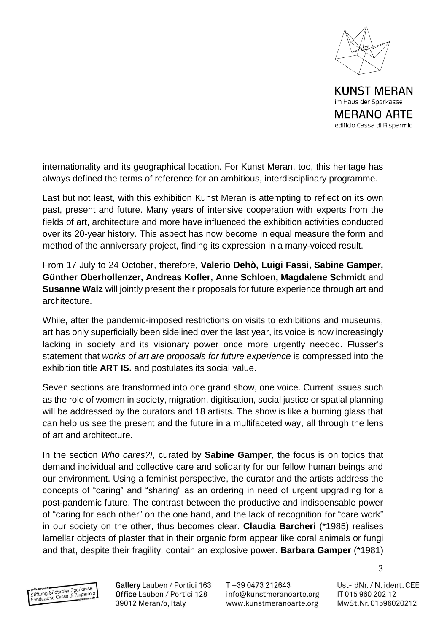

im Haus der Sparkasse **MERANO ARTE** edificio Cassa di Risparmio

internationality and its geographical location. For Kunst Meran, too, this heritage has always defined the terms of reference for an ambitious, interdisciplinary programme.

Last but not least, with this exhibition Kunst Meran is attempting to reflect on its own past, present and future. Many years of intensive cooperation with experts from the fields of art, architecture and more have influenced the exhibition activities conducted over its 20-year history. This aspect has now become in equal measure the form and method of the anniversary project, finding its expression in a many-voiced result.

From 17 July to 24 October, therefore, **Valerio Dehò, Luigi Fassi, Sabine Gamper, Günther Oberhollenzer, Andreas Kofler, Anne Schloen, Magdalene Schmidt** and **Susanne Waiz** will jointly present their proposals for future experience through art and architecture.

While, after the pandemic-imposed restrictions on visits to exhibitions and museums, art has only superficially been sidelined over the last year, its voice is now increasingly lacking in society and its visionary power once more urgently needed. Flusser's statement that *works of art are proposals for future experience* is compressed into the exhibition title **ART IS.** and postulates its social value.

Seven sections are transformed into one grand show, one voice. Current issues such as the role of women in society, migration, digitisation, social justice or spatial planning will be addressed by the curators and 18 artists. The show is like a burning glass that can help us see the present and the future in a multifaceted way, all through the lens of art and architecture.

In the section *Who cares?!*, curated by **Sabine Gamper**, the focus is on topics that demand individual and collective care and solidarity for our fellow human beings and our environment. Using a feminist perspective, the curator and the artists address the concepts of "caring" and "sharing" as an ordering in need of urgent upgrading for a post-pandemic future. The contrast between the productive and indispensable power of "caring for each other" on the one hand, and the lack of recognition for "care work" in our society on the other, thus becomes clear. **Claudia Barcheri** (\*1985) realises lamellar objects of plaster that in their organic form appear like coral animals or fungi and that, despite their fragility, contain an explosive power. **Barbara Gamper** (\*1981)

gefördert von<br>Stiftung Südtiroler Sparkasse<br>Fundazione Cassa di Risparmin efördert von Güdtiroler Sparkasser<br>Stiftung Südtiroler Sparkasser<br>Fondazione Cassa di Risparmito Gallery Lauben / Portici 163 Office Lauben / Portici 128 39012 Meran/o, Italy

T+39 0473 212643 info@kunstmeranoarte.org www.kunstmeranoarte.org

Ust-IdNr. / N. ident. CEE IT 015 960 202 12 MwSt.Nr. 01596020212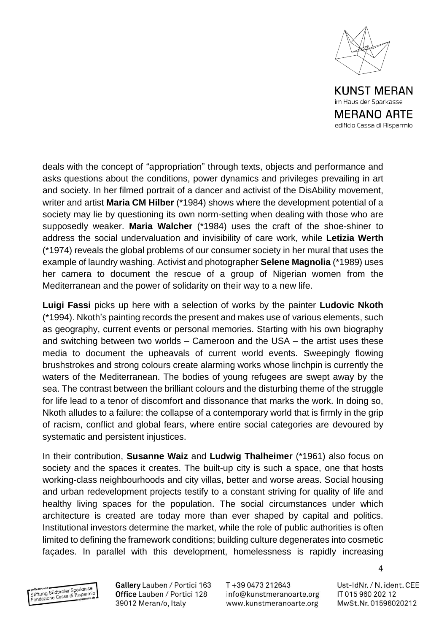

deals with the concept of "appropriation" through texts, objects and performance and asks questions about the conditions, power dynamics and privileges prevailing in art and society. In her filmed portrait of a dancer and activist of the DisAbility movement, writer and artist **Maria CM Hilber** (\*1984) shows where the development potential of a society may lie by questioning its own norm-setting when dealing with those who are supposedly weaker. **Maria Walcher** (\*1984) uses the craft of the shoe-shiner to address the social undervaluation and invisibility of care work, while **Letizia Werth** (\*1974) reveals the global problems of our consumer society in her mural that uses the example of laundry washing. Activist and photographer **Selene Magnolia** (\*1989) uses her camera to document the rescue of a group of Nigerian women from the Mediterranean and the power of solidarity on their way to a new life.

**Luigi Fassi** picks up here with a selection of works by the painter **Ludovic Nkoth** (\*1994). Nkoth's painting records the present and makes use of various elements, such as geography, current events or personal memories. Starting with his own biography and switching between two worlds – Cameroon and the USA – the artist uses these media to document the upheavals of current world events. Sweepingly flowing brushstrokes and strong colours create alarming works whose linchpin is currently the waters of the Mediterranean. The bodies of young refugees are swept away by the sea. The contrast between the brilliant colours and the disturbing theme of the struggle for life lead to a tenor of discomfort and dissonance that marks the work. In doing so, Nkoth alludes to a failure: the collapse of a contemporary world that is firmly in the grip of racism, conflict and global fears, where entire social categories are devoured by systematic and persistent injustices.

In their contribution, **Susanne Waiz** and **Ludwig Thalheimer** (\*1961) also focus on society and the spaces it creates. The built-up city is such a space, one that hosts working-class neighbourhoods and city villas, better and worse areas. Social housing and urban redevelopment projects testify to a constant striving for quality of life and healthy living spaces for the population. The social circumstances under which architecture is created are today more than ever shaped by capital and politics. Institutional investors determine the market, while the role of public authorities is often limited to defining the framework conditions; building culture degenerates into cosmetic façades. In parallel with this development, homelessness is rapidly increasing

getördert von<br>Stiftung Südtiroler Sparkasse<br>Fendazione Cassa di Risparmin **Stiftung Südtiroler Sparkasser**<br>Stiftung Südtiroler Sparkasser<br>Fondazione Cassa di Risparmito da Gallery Lauben / Portici 163 Office Lauben / Portici 128 39012 Meran/o, Italy

T+39 0473 212643 info@kunstmeranoarte.org www.kunstmeranoarte.org

Ust-IdNr. / N. ident. CEE IT 015 960 202 12 MwSt.Nr. 01596020212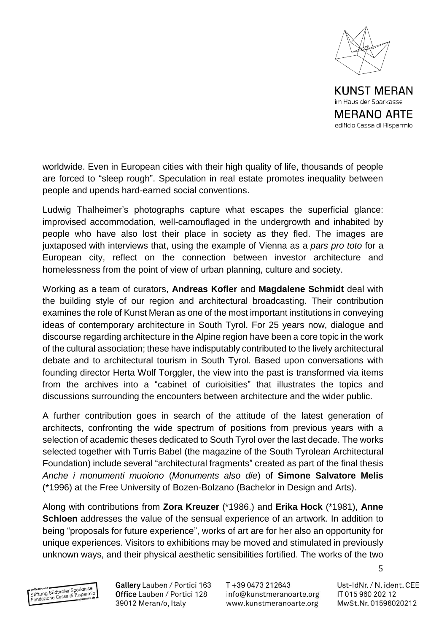

**MERANO ARTE** 

edificio Cassa di Risparmio

worldwide. Even in European cities with their high quality of life, thousands of people are forced to "sleep rough". Speculation in real estate promotes inequality between people and upends hard-earned social conventions.

Ludwig Thalheimer's photographs capture what escapes the superficial glance: improvised accommodation, well-camouflaged in the undergrowth and inhabited by people who have also lost their place in society as they fled. The images are juxtaposed with interviews that, using the example of Vienna as a *pars pro toto* for a European city, reflect on the connection between investor architecture and homelessness from the point of view of urban planning, culture and society.

Working as a team of curators, **Andreas Kofler** and **Magdalene Schmidt** deal with the building style of our region and architectural broadcasting. Their contribution examines the role of Kunst Meran as one of the most important institutions in conveying ideas of contemporary architecture in South Tyrol. For 25 years now, dialogue and discourse regarding architecture in the Alpine region have been a core topic in the work of the cultural association; these have indisputably contributed to the lively architectural debate and to architectural tourism in South Tyrol. Based upon conversations with founding director Herta Wolf Torggler, the view into the past is transformed via items from the archives into a "cabinet of curioisities" that illustrates the topics and discussions surrounding the encounters between architecture and the wider public.

A further contribution goes in search of the attitude of the latest generation of architects, confronting the wide spectrum of positions from previous years with a selection of academic theses dedicated to South Tyrol over the last decade. The works selected together with Turris Babel (the magazine of the South Tyrolean Architectural Foundation) include several "architectural fragments" created as part of the final thesis *Anche i monumenti muoiono* (*Monuments also die*) of **Simone Salvatore Melis** (\*1996) at the Free University of Bozen-Bolzano (Bachelor in Design and Arts).

Along with contributions from **Zora Kreuzer** (\*1986.) and **Erika Hock** (\*1981), **Anne Schloen** addresses the value of the sensual experience of an artwork. In addition to being "proposals for future experience", works of art are for her also an opportunity for unique experiences. Visitors to exhibitions may be moved and stimulated in previously unknown ways, and their physical aesthetic sensibilities fortified. The works of the two

getördert von<br>Stiftung Südtiroler Sparkasse<br>Fendazione Cassa di Risparmin **Stiftung Südtiroler Sparkasser**<br>Stiftung Südtiroler Sparkasser<br>Fondazione Cassa di Risparmito da Gallery Lauben / Portici 163 Office Lauben / Portici 128 39012 Meran/o, Italy

T+39 0473 212643 info@kunstmeranoarte.org www.kunstmeranoarte.org

Ust-IdNr. / N. ident. CEE IT 015 960 202 12 MwSt.Nr. 01596020212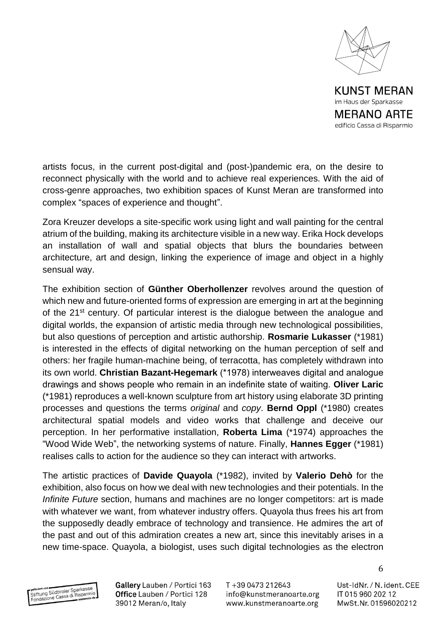

edificio Cassa di Risparmio

artists focus, in the current post-digital and (post-)pandemic era, on the desire to reconnect physically with the world and to achieve real experiences. With the aid of cross-genre approaches, two exhibition spaces of Kunst Meran are transformed into complex "spaces of experience and thought".

Zora Kreuzer develops a site-specific work using light and wall painting for the central atrium of the building, making its architecture visible in a new way. Erika Hock develops an installation of wall and spatial objects that blurs the boundaries between architecture, art and design, linking the experience of image and object in a highly sensual way.

The exhibition section of **Günther Oberhollenzer** revolves around the question of which new and future-oriented forms of expression are emerging in art at the beginning of the 21<sup>st</sup> century. Of particular interest is the dialogue between the analogue and digital worlds, the expansion of artistic media through new technological possibilities, but also questions of perception and artistic authorship. **Rosmarie Lukasser** (\*1981) is interested in the effects of digital networking on the human perception of self and others: her fragile human-machine being, of terracotta, has completely withdrawn into its own world. **Christian Bazant-Hegemark** (\*1978) interweaves digital and analogue drawings and shows people who remain in an indefinite state of waiting. **Oliver Laric** (\*1981) reproduces a well-known sculpture from art history using elaborate 3D printing processes and questions the terms *original* and *copy*. **Bernd Oppl** (\*1980) creates architectural spatial models and video works that challenge and deceive our perception. In her performative installation, **Roberta Lima** (\*1974) approaches the "Wood Wide Web", the networking systems of nature. Finally, **Hannes Egger** (\*1981) realises calls to action for the audience so they can interact with artworks.

The artistic practices of **Davide Quayola** (\*1982), invited by **Valerio Dehò** for the exhibition, also focus on how we deal with new technologies and their potentials. In the *Infinite Future* section, humans and machines are no longer competitors: art is made with whatever we want, from whatever industry offers. Quayola thus frees his art from the supposedly deadly embrace of technology and transience. He admires the art of the past and out of this admiration creates a new art, since this inevitably arises in a new time-space. Quayola, a biologist, uses such digital technologies as the electron

getördert von<br>Stiftung Südtiroler Sparkasse<br>Fendazione Cassa di Risparmin efördert von Güdtiroler Sparkasser<br>Stiftung Südtiroler Sparkasser<br>Fondazione Cassa di Risparmito Gallery Lauben / Portici 163 Office Lauben / Portici 128 39012 Meran/o, Italy

T+39 0473 212643 info@kunstmeranoarte.org www.kunstmeranoarte.org

Ust-IdNr. / N. ident. CEE IT 015 960 202 12 MwSt.Nr. 01596020212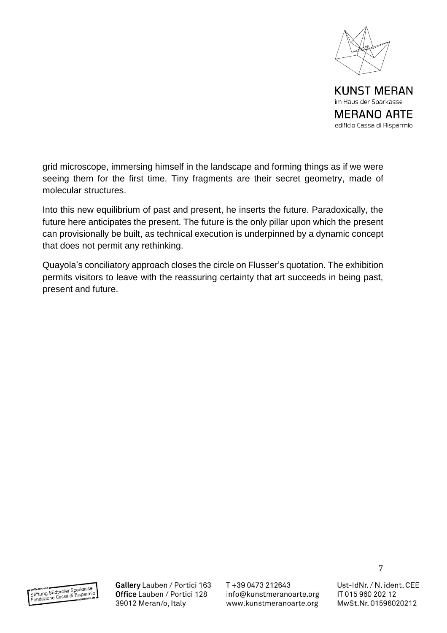

grid microscope, immersing himself in the landscape and forming things as if we were seeing them for the first time. Tiny fragments are their secret geometry, made of molecular structures.

Into this new equilibrium of past and present, he inserts the future. Paradoxically, the future here anticipates the present. The future is the only pillar upon which the present can provisionally be built, as technical execution is underpinned by a dynamic concept that does not permit any rethinking.

Quayola's conciliatory approach closes the circle on Flusser's quotation. The exhibition permits visitors to leave with the reassuring certainty that art succeeds in being past, present and future.



Gallery Lauben / Portici 163 Office Lauben / Portici 128 39012 Meran/o, Italy

T+39 0473 212643 info@kunstmeranoarte.org www.kunstmeranoarte.org

Ust-IdNr. / N. ident. CEE IT 015 960 202 12 MwSt.Nr. 01596020212